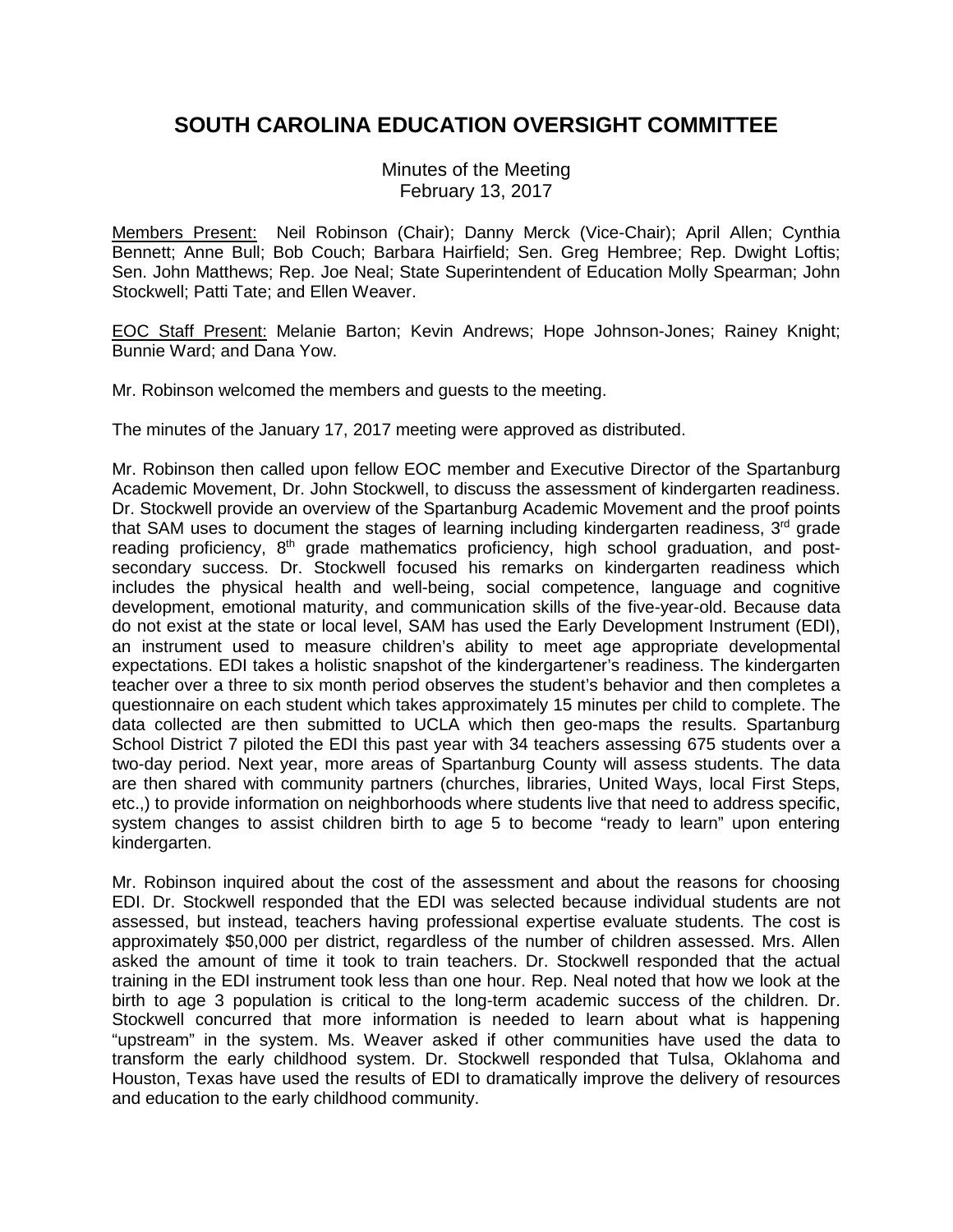# **SOUTH CAROLINA EDUCATION OVERSIGHT COMMITTEE**

Minutes of the Meeting February 13, 2017

Members Present: Neil Robinson (Chair); Danny Merck (Vice-Chair); April Allen; Cynthia Bennett; Anne Bull; Bob Couch; Barbara Hairfield; Sen. Greg Hembree; Rep. Dwight Loftis; Sen. John Matthews; Rep. Joe Neal; State Superintendent of Education Molly Spearman; John Stockwell; Patti Tate; and Ellen Weaver.

EOC Staff Present: Melanie Barton; Kevin Andrews; Hope Johnson-Jones; Rainey Knight; Bunnie Ward; and Dana Yow.

Mr. Robinson welcomed the members and guests to the meeting.

The minutes of the January 17, 2017 meeting were approved as distributed.

Mr. Robinson then called upon fellow EOC member and Executive Director of the Spartanburg Academic Movement, Dr. John Stockwell, to discuss the assessment of kindergarten readiness. Dr. Stockwell provide an overview of the Spartanburg Academic Movement and the proof points that SAM uses to document the stages of learning including kindergarten readiness, 3rd grade reading proficiency, 8<sup>th</sup> grade mathematics proficiency, high school graduation, and postsecondary success. Dr. Stockwell focused his remarks on kindergarten readiness which includes the physical health and well-being, social competence, language and cognitive development, emotional maturity, and communication skills of the five-year-old. Because data do not exist at the state or local level, SAM has used the Early Development Instrument (EDI), an instrument used to measure children's ability to meet age appropriate developmental expectations. EDI takes a holistic snapshot of the kindergartener's readiness. The kindergarten teacher over a three to six month period observes the student's behavior and then completes a questionnaire on each student which takes approximately 15 minutes per child to complete. The data collected are then submitted to UCLA which then geo-maps the results. Spartanburg School District 7 piloted the EDI this past year with 34 teachers assessing 675 students over a two-day period. Next year, more areas of Spartanburg County will assess students. The data are then shared with community partners (churches, libraries, United Ways, local First Steps, etc.,) to provide information on neighborhoods where students live that need to address specific, system changes to assist children birth to age 5 to become "ready to learn" upon entering kindergarten.

Mr. Robinson inquired about the cost of the assessment and about the reasons for choosing EDI. Dr. Stockwell responded that the EDI was selected because individual students are not assessed, but instead, teachers having professional expertise evaluate students. The cost is approximately \$50,000 per district, regardless of the number of children assessed. Mrs. Allen asked the amount of time it took to train teachers. Dr. Stockwell responded that the actual training in the EDI instrument took less than one hour. Rep. Neal noted that how we look at the birth to age 3 population is critical to the long-term academic success of the children. Dr. Stockwell concurred that more information is needed to learn about what is happening "upstream" in the system. Ms. Weaver asked if other communities have used the data to transform the early childhood system. Dr. Stockwell responded that Tulsa, Oklahoma and Houston, Texas have used the results of EDI to dramatically improve the delivery of resources and education to the early childhood community.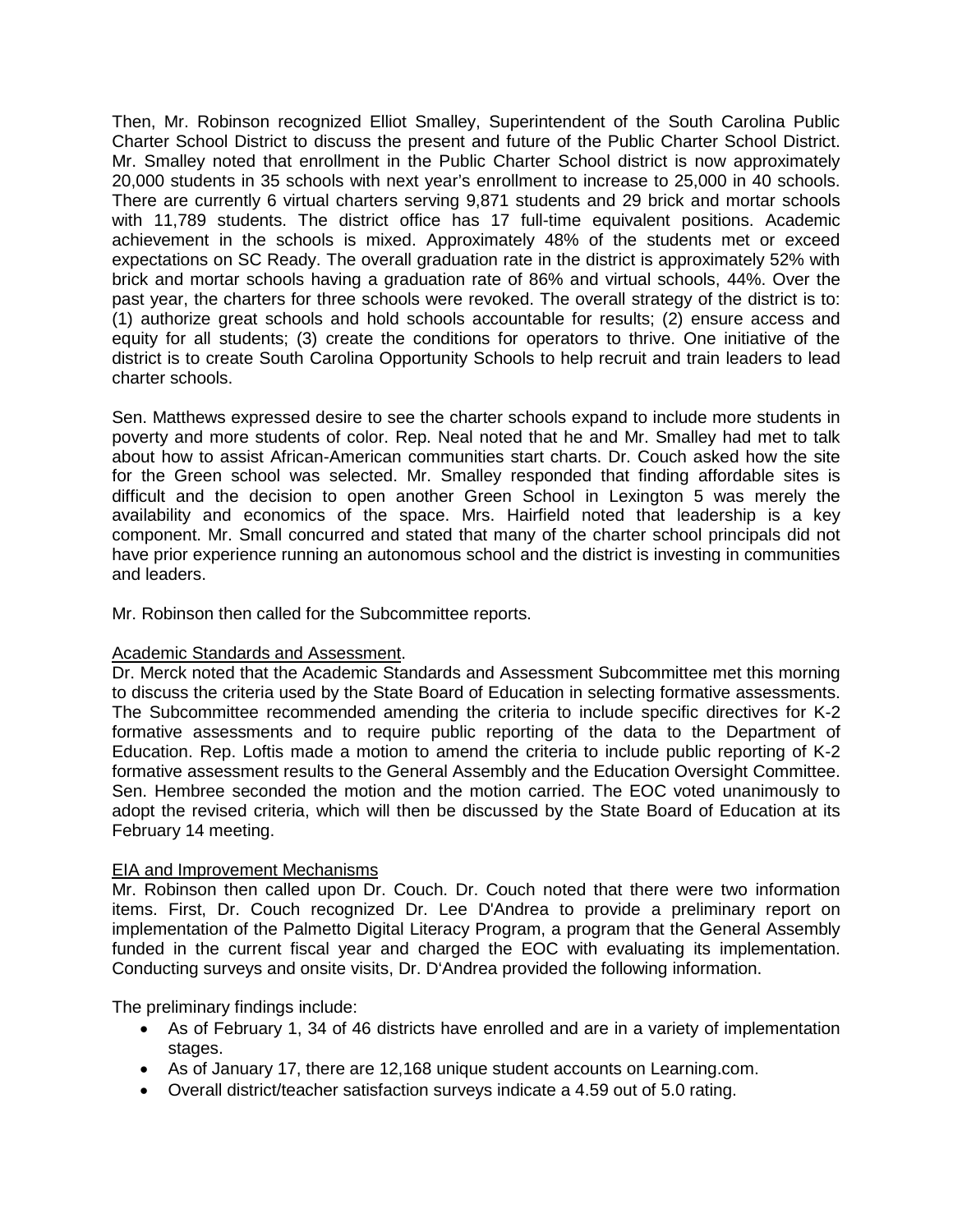Then, Mr. Robinson recognized Elliot Smalley, Superintendent of the South Carolina Public Charter School District to discuss the present and future of the Public Charter School District. Mr. Smalley noted that enrollment in the Public Charter School district is now approximately 20,000 students in 35 schools with next year's enrollment to increase to 25,000 in 40 schools. There are currently 6 virtual charters serving 9,871 students and 29 brick and mortar schools with 11,789 students. The district office has 17 full-time equivalent positions. Academic achievement in the schools is mixed. Approximately 48% of the students met or exceed expectations on SC Ready. The overall graduation rate in the district is approximately 52% with brick and mortar schools having a graduation rate of 86% and virtual schools, 44%. Over the past year, the charters for three schools were revoked. The overall strategy of the district is to: (1) authorize great schools and hold schools accountable for results; (2) ensure access and equity for all students; (3) create the conditions for operators to thrive. One initiative of the district is to create South Carolina Opportunity Schools to help recruit and train leaders to lead charter schools.

Sen. Matthews expressed desire to see the charter schools expand to include more students in poverty and more students of color. Rep. Neal noted that he and Mr. Smalley had met to talk about how to assist African-American communities start charts. Dr. Couch asked how the site for the Green school was selected. Mr. Smalley responded that finding affordable sites is difficult and the decision to open another Green School in Lexington 5 was merely the availability and economics of the space. Mrs. Hairfield noted that leadership is a key component. Mr. Small concurred and stated that many of the charter school principals did not have prior experience running an autonomous school and the district is investing in communities and leaders.

Mr. Robinson then called for the Subcommittee reports.

#### Academic Standards and Assessment.

Dr. Merck noted that the Academic Standards and Assessment Subcommittee met this morning to discuss the criteria used by the State Board of Education in selecting formative assessments. The Subcommittee recommended amending the criteria to include specific directives for K-2 formative assessments and to require public reporting of the data to the Department of Education. Rep. Loftis made a motion to amend the criteria to include public reporting of K-2 formative assessment results to the General Assembly and the Education Oversight Committee. Sen. Hembree seconded the motion and the motion carried. The EOC voted unanimously to adopt the revised criteria, which will then be discussed by the State Board of Education at its February 14 meeting.

## EIA and Improvement Mechanisms

Mr. Robinson then called upon Dr. Couch. Dr. Couch noted that there were two information items. First, Dr. Couch recognized Dr. Lee D'Andrea to provide a preliminary report on implementation of the Palmetto Digital Literacy Program, a program that the General Assembly funded in the current fiscal year and charged the EOC with evaluating its implementation. Conducting surveys and onsite visits, Dr. D'Andrea provided the following information.

The preliminary findings include:

- As of February 1, 34 of 46 districts have enrolled and are in a variety of implementation stages.
- As of January 17, there are 12,168 unique student accounts on Learning.com.
- Overall district/teacher satisfaction surveys indicate a 4.59 out of 5.0 rating.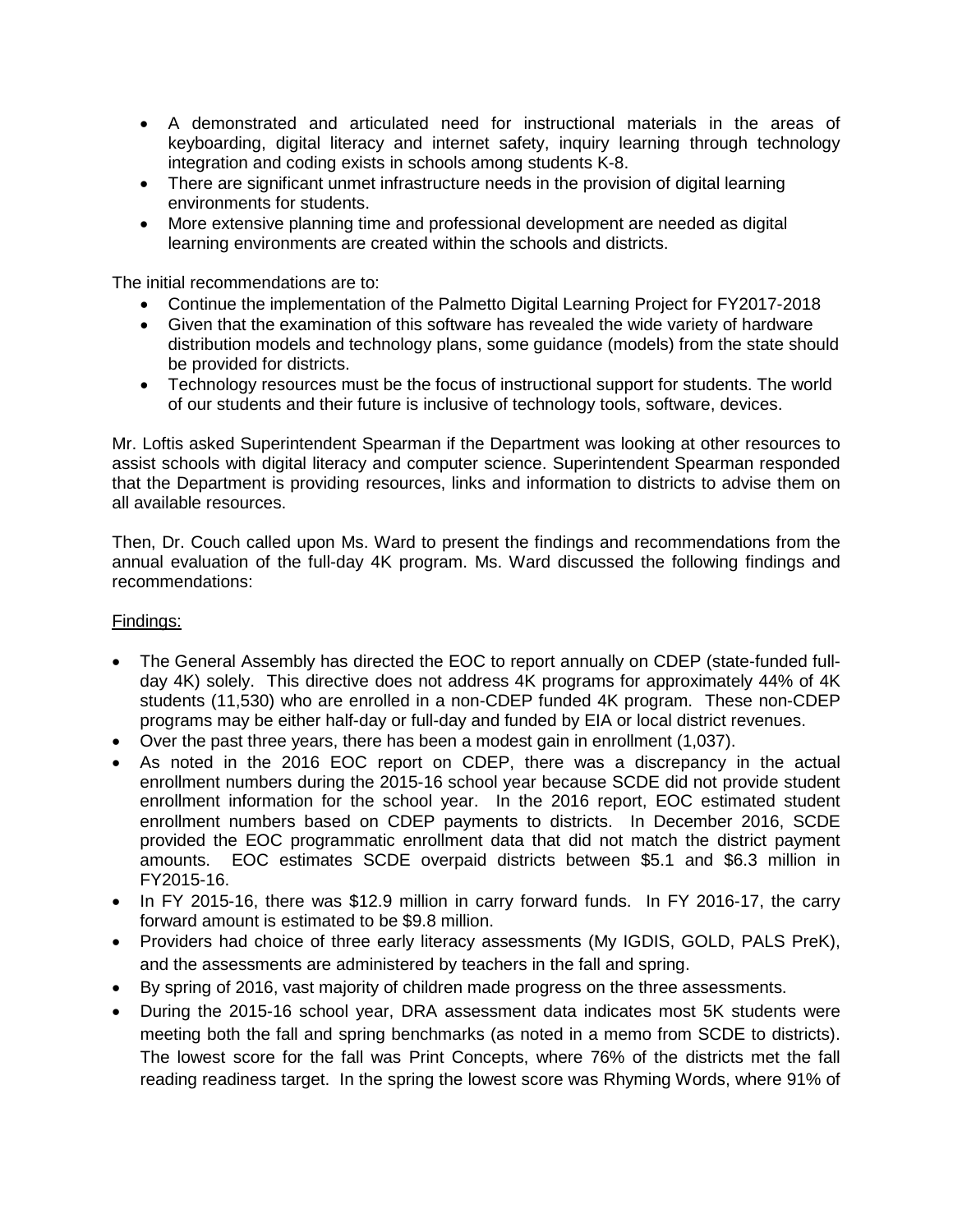- A demonstrated and articulated need for instructional materials in the areas of keyboarding, digital literacy and internet safety, inquiry learning through technology integration and coding exists in schools among students K-8.
- There are significant unmet infrastructure needs in the provision of digital learning environments for students.
- More extensive planning time and professional development are needed as digital learning environments are created within the schools and districts.

The initial recommendations are to:

- Continue the implementation of the Palmetto Digital Learning Project for FY2017-2018
- Given that the examination of this software has revealed the wide variety of hardware distribution models and technology plans, some guidance (models) from the state should be provided for districts.
- Technology resources must be the focus of instructional support for students. The world of our students and their future is inclusive of technology tools, software, devices.

Mr. Loftis asked Superintendent Spearman if the Department was looking at other resources to assist schools with digital literacy and computer science. Superintendent Spearman responded that the Department is providing resources, links and information to districts to advise them on all available resources.

Then, Dr. Couch called upon Ms. Ward to present the findings and recommendations from the annual evaluation of the full-day 4K program. Ms. Ward discussed the following findings and recommendations:

### Findings:

- The General Assembly has directed the EOC to report annually on CDEP (state-funded fullday 4K) solely. This directive does not address 4K programs for approximately 44% of 4K students (11,530) who are enrolled in a non-CDEP funded 4K program. These non-CDEP programs may be either half-day or full-day and funded by EIA or local district revenues.
- Over the past three years, there has been a modest gain in enrollment (1,037).
- As noted in the 2016 EOC report on CDEP, there was a discrepancy in the actual enrollment numbers during the 2015-16 school year because SCDE did not provide student enrollment information for the school year. In the 2016 report, EOC estimated student enrollment numbers based on CDEP payments to districts. In December 2016, SCDE provided the EOC programmatic enrollment data that did not match the district payment amounts. EOC estimates SCDE overpaid districts between \$5.1 and \$6.3 million in FY2015-16.
- In FY 2015-16, there was \$12.9 million in carry forward funds. In FY 2016-17, the carry forward amount is estimated to be \$9.8 million.
- Providers had choice of three early literacy assessments (My IGDIS, GOLD, PALS PreK), and the assessments are administered by teachers in the fall and spring.
- By spring of 2016, vast majority of children made progress on the three assessments.
- During the 2015-16 school year, DRA assessment data indicates most 5K students were meeting both the fall and spring benchmarks (as noted in a memo from SCDE to districts). The lowest score for the fall was Print Concepts, where 76% of the districts met the fall reading readiness target. In the spring the lowest score was Rhyming Words, where 91% of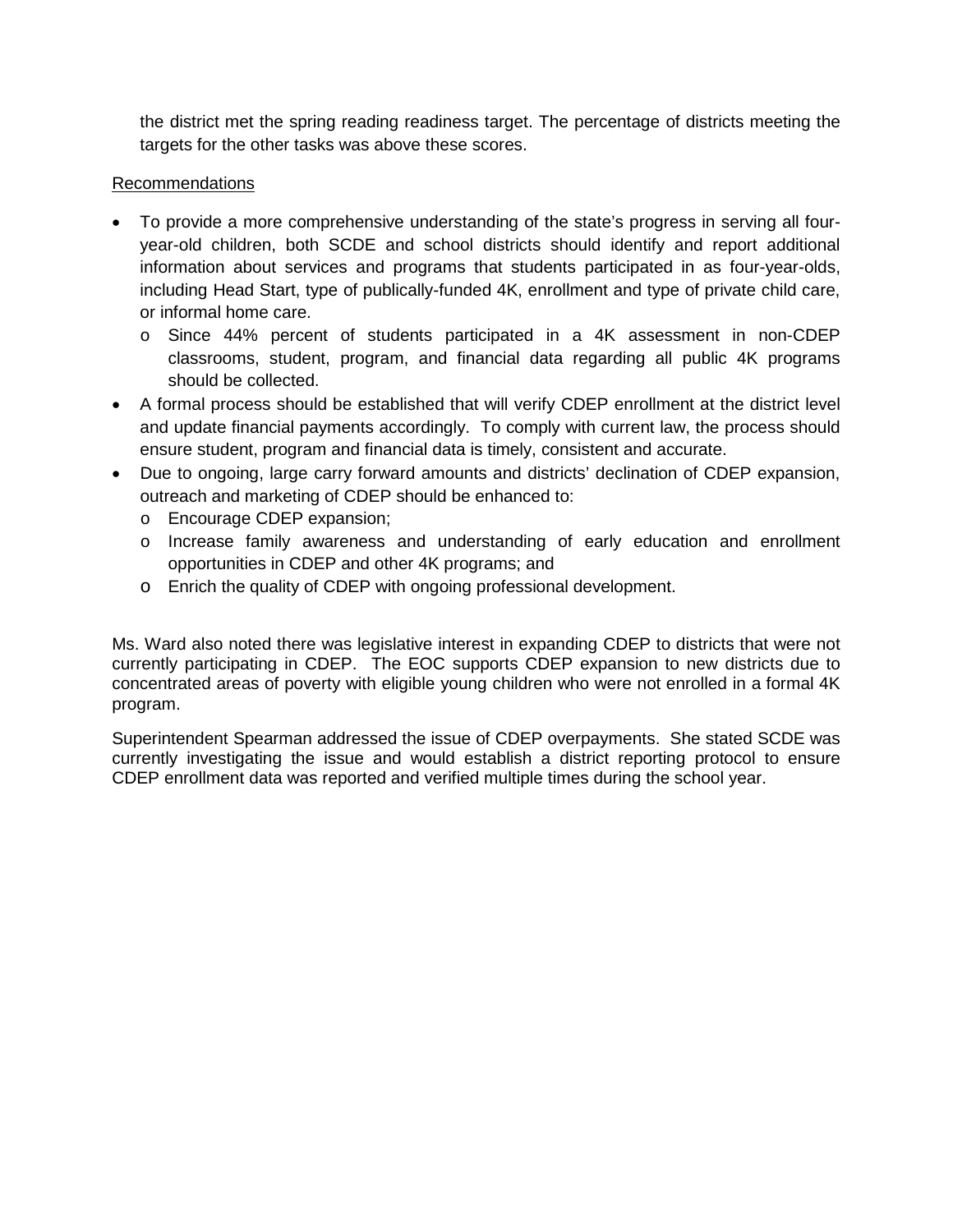the district met the spring reading readiness target. The percentage of districts meeting the targets for the other tasks was above these scores.

## Recommendations

- To provide a more comprehensive understanding of the state's progress in serving all fouryear-old children, both SCDE and school districts should identify and report additional information about services and programs that students participated in as four-year-olds, including Head Start, type of publically-funded 4K, enrollment and type of private child care, or informal home care.
	- o Since 44% percent of students participated in a 4K assessment in non-CDEP classrooms, student, program, and financial data regarding all public 4K programs should be collected.
- A formal process should be established that will verify CDEP enrollment at the district level and update financial payments accordingly. To comply with current law, the process should ensure student, program and financial data is timely, consistent and accurate.
- Due to ongoing, large carry forward amounts and districts' declination of CDEP expansion, outreach and marketing of CDEP should be enhanced to:
	- o Encourage CDEP expansion;
	- o Increase family awareness and understanding of early education and enrollment opportunities in CDEP and other 4K programs; and
	- o Enrich the quality of CDEP with ongoing professional development.

Ms. Ward also noted there was legislative interest in expanding CDEP to districts that were not currently participating in CDEP. The EOC supports CDEP expansion to new districts due to concentrated areas of poverty with eligible young children who were not enrolled in a formal 4K program.

Superintendent Spearman addressed the issue of CDEP overpayments. She stated SCDE was currently investigating the issue and would establish a district reporting protocol to ensure CDEP enrollment data was reported and verified multiple times during the school year.